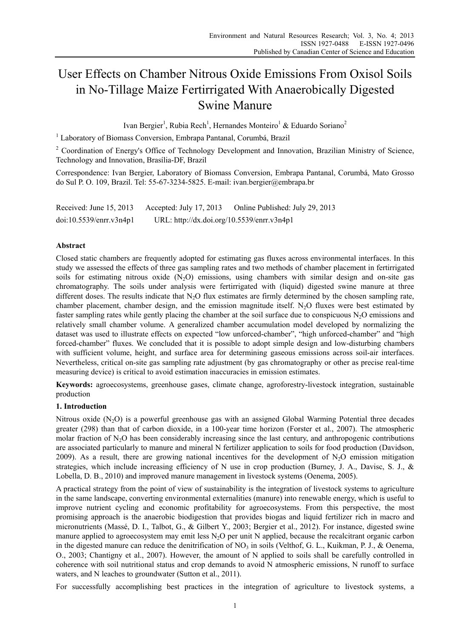# User Effects on Chamber Nitrous Oxide Emissions From Oxisol Soils in No-Tillage Maize Fertirrigated With Anaerobically Digested Swine Manure

Ivan Bergier<sup>1</sup>, Rubia Rech<sup>1</sup>, Hernandes Monteiro<sup>1</sup> & Eduardo Soriano<sup>2</sup>

<sup>1</sup> Laboratory of Biomass Conversion, Embrapa Pantanal, Corumbá, Brazil

<sup>2</sup> Coordination of Energy's Office of Technology Development and Innovation, Brazilian Ministry of Science, Technology and Innovation, Brasília-DF, Brazil

Correspondence: Ivan Bergier, Laboratory of Biomass Conversion, Embrapa Pantanal, Corumbá, Mato Grosso do Sul P. O. 109, Brazil. Tel: 55-67-3234-5825. E-mail: ivan.bergier@embrapa.br

Received: June 15, 2013 Accepted: July 17, 2013 Online Published: July 29, 2013 doi:10.5539/enrr.v3n4p1 URL: http://dx.doi.org/10.5539/enrr.v3n4p1

# **Abstract**

Closed static chambers are frequently adopted for estimating gas fluxes across environmental interfaces. In this study we assessed the effects of three gas sampling rates and two methods of chamber placement in fertirrigated soils for estimating nitrous oxide  $(N_2O)$  emissions, using chambers with similar design and on-site gas chromatography. The soils under analysis were fertirrigated with (liquid) digested swine manure at three different doses. The results indicate that  $N<sub>2</sub>O$  flux estimates are firmly determined by the chosen sampling rate, chamber placement, chamber design, and the emission magnitude itself.  $N<sub>2</sub>O$  fluxes were best estimated by faster sampling rates while gently placing the chamber at the soil surface due to conspicuous  $N_2O$  emissions and relatively small chamber volume. A generalized chamber accumulation model developed by normalizing the dataset was used to illustrate effects on expected "low unforced-chamber", "high unforced-chamber" and "high forced-chamber" fluxes. We concluded that it is possible to adopt simple design and low-disturbing chambers with sufficient volume, height, and surface area for determining gaseous emissions across soil-air interfaces. Nevertheless, critical on-site gas sampling rate adjustment (by gas chromatography or other as precise real-time measuring device) is critical to avoid estimation inaccuracies in emission estimates.

**Keywords:** agroecosystems, greenhouse gases, climate change, agroforestry-livestock integration, sustainable production

# **1. Introduction**

Nitrous oxide (N<sub>2</sub>O) is a powerful greenhouse gas with an assigned Global Warming Potential three decades greater (298) than that of carbon dioxide, in a 100-year time horizon (Forster et al., 2007). The atmospheric molar fraction of N2O has been considerably increasing since the last century, and anthropogenic contributions are associated particularly to manure and mineral N fertilizer application to soils for food production (Davidson, 2009). As a result, there are growing national incentives for the development of  $N<sub>2</sub>O$  emission mitigation strategies, which include increasing efficiency of N use in crop production (Burney, J. A., Davisc, S. J., & Lobella, D. B., 2010) and improved manure management in livestock systems (Oenema, 2005).

A practical strategy from the point of view of sustainability is the integration of livestock systems to agriculture in the same landscape, converting environmental externalities (manure) into renewable energy, which is useful to improve nutrient cycling and economic profitability for agroecosystems. From this perspective, the most promising approach is the anaerobic biodigestion that provides biogas and liquid fertilizer rich in macro and micronutrients (Massé, D. I., Talbot, G., & Gilbert Y., 2003; Bergier et al., 2012). For instance, digested swine manure applied to agroecosystem may emit less  $N<sub>2</sub>O$  per unit N applied, because the recalcitrant organic carbon in the digested manure can reduce the denitrification of  $NO_3$  in soils (Velthof, G. L., Kuikman, P. J., & Oenema, O., 2003; Chantigny et al., 2007). However, the amount of N applied to soils shall be carefully controlled in coherence with soil nutritional status and crop demands to avoid N atmospheric emissions, N runoff to surface waters, and N leaches to groundwater (Sutton et al., 2011).

For successfully accomplishing best practices in the integration of agriculture to livestock systems, a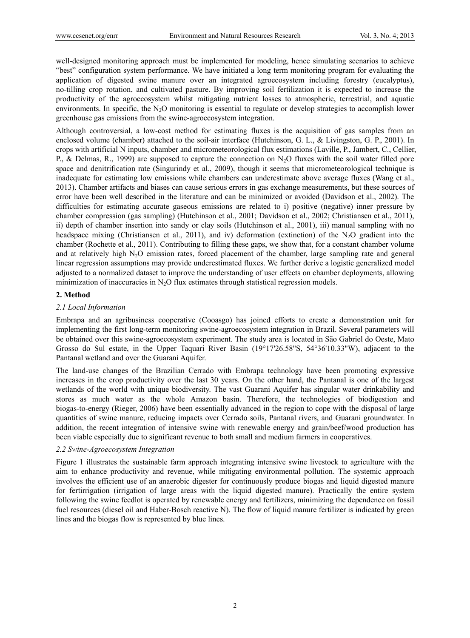well-designed monitoring approach must be implemented for modeling, hence simulating scenarios to achieve "best" configuration system performance. We have initiated a long term monitoring program for evaluating the application of digested swine manure over an integrated agroecosystem including forestry (eucalyptus), no-tilling crop rotation, and cultivated pasture. By improving soil fertilization it is expected to increase the productivity of the agroecosystem whilst mitigating nutrient losses to atmospheric, terrestrial, and aquatic environments. In specific, the  $N<sub>2</sub>O$  monitoring is essential to regulate or develop strategies to accomplish lower greenhouse gas emissions from the swine-agroecosystem integration.

Although controversial, a low-cost method for estimating fluxes is the acquisition of gas samples from an enclosed volume (chamber) attached to the soil-air interface (Hutchinson, G. L., & Livingston, G. P., 2001). In crops with artificial N inputs, chamber and micrometeorological flux estimations (Laville, P., Jambert, C., Cellier, P., & Delmas, R., 1999) are supposed to capture the connection on N2O fluxes with the soil water filled pore space and denitrification rate (Singurindy et al., 2009), though it seems that micrometeorological technique is inadequate for estimating low emissions while chambers can underestimate above average fluxes (Wang et al., 2013). Chamber artifacts and biases can cause serious errors in gas exchange measurements, but these sources of error have been well described in the literature and can be minimized or avoided (Davidson et al., 2002). The difficulties for estimating accurate gaseous emissions are related to i) positive (negative) inner pressure by chamber compression (gas sampling) (Hutchinson et al., 2001; Davidson et al., 2002; Christiansen et al., 2011), ii) depth of chamber insertion into sandy or clay soils (Hutchinson et al., 2001), iii) manual sampling with no headspace mixing (Christiansen et al., 2011), and iv) deformation (extinction) of the  $N_2O$  gradient into the chamber (Rochette et al., 2011). Contributing to filling these gaps, we show that, for a constant chamber volume and at relatively high  $N_2O$  emission rates, forced placement of the chamber, large sampling rate and general linear regression assumptions may provide underestimated fluxes. We further derive a logistic generalized model adjusted to a normalized dataset to improve the understanding of user effects on chamber deployments, allowing minimization of inaccuracies in  $N_2O$  flux estimates through statistical regression models.

# **2. Method**

#### *2.1 Local Information*

Embrapa and an agribusiness cooperative (Cooasgo) has joined efforts to create a demonstration unit for implementing the first long-term monitoring swine-agroecosystem integration in Brazil. Several parameters will be obtained over this swine-agroecosystem experiment. The study area is located in São Gabriel do Oeste, Mato Grosso do Sul estate, in the Upper Taquari River Basin (19°17'26.58"S, 54°36'10.33"W), adjacent to the Pantanal wetland and over the Guarani Aquifer.

The land-use changes of the Brazilian Cerrado with Embrapa technology have been promoting expressive increases in the crop productivity over the last 30 years. On the other hand, the Pantanal is one of the largest wetlands of the world with unique biodiversity. The vast Guarani Aquifer has singular water drinkability and stores as much water as the whole Amazon basin. Therefore, the technologies of biodigestion and biogas-to-energy (Rieger, 2006) have been essentially advanced in the region to cope with the disposal of large quantities of swine manure, reducing impacts over Cerrado soils, Pantanal rivers, and Guarani groundwater. In addition, the recent integration of intensive swine with renewable energy and grain/beef/wood production has been viable especially due to significant revenue to both small and medium farmers in cooperatives.

#### *2.2 Swine-Agroecosystem Integration*

Figure 1 illustrates the sustainable farm approach integrating intensive swine livestock to agriculture with the aim to enhance productivity and revenue, while mitigating environmental pollution. The systemic approach involves the efficient use of an anaerobic digester for continuously produce biogas and liquid digested manure for fertirrigation (irrigation of large areas with the liquid digested manure). Practically the entire system following the swine feedlot is operated by renewable energy and fertilizers, minimizing the dependence on fossil fuel resources (diesel oil and Haber-Bosch reactive N). The flow of liquid manure fertilizer is indicated by green lines and the biogas flow is represented by blue lines.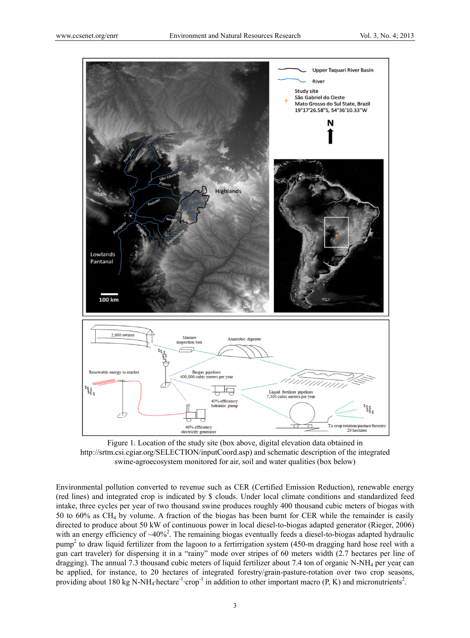

Figure 1. Location of the study site (box above, digital elevation data obtained in http://srtm.csi.cgiar.org/SELECTION/inputCoord.asp) and schematic description of the integrated swine-agroecosystem monitored for air, soil and water qualities (box below)

Environmental pollution converted to revenue such as CER (Certified Emission Reduction), renewable energy (red lines) and integrated crop is indicated by \$ clouds. Under local climate conditions and standardized feed intake, three cycles per year of two thousand swine produces roughly 400 thousand cubic meters of biogas with 50 to 60% as CH4 by volume. A fraction of the biogas has been burnt for CER while the remainder is easily directed to produce about 50 kW of continuous power in local diesel-to-biogas adapted generator (Rieger, 2006) with an energy efficiency of  $\sim$ 40%<sup>2</sup>. The remaining biogas eventually feeds a diesel-to-biogas adapted hydraulic pump<sup>2</sup> to draw liquid fertilizer from the lagoon to a fertirrigation system (450-m dragging hard hose reel with a gun cart traveler) for dispersing it in a "rainy" mode over stripes of 60 meters width (2.7 hectares per line of dragging). The annual 7.3 thousand cubic meters of liquid fertilizer about 7.4 ton of organic N-NH<sub>4</sub> per year can be applied, for instance, to 20 hectares of integrated forestry/grain-pasture-rotation over two crop seasons, providing about 180 kg N-NH<sub>4</sub>·hectare<sup>-1</sup>·crop<sup>-1</sup> in addition to other important macro (P, K) and micronutrients<sup>2</sup>.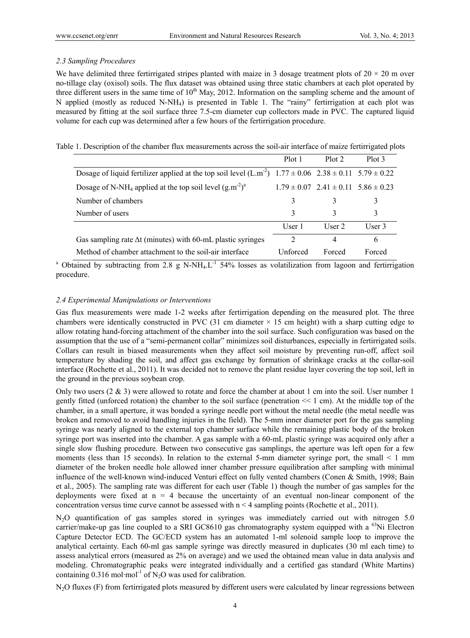### *2.3 Sampling Procedures*

We have delimited three fertirrigated stripes planted with maize in 3 dosage treatment plots of  $20 \times 20$  m over no-tillage clay (oxisol) soils. The flux dataset was obtained using three static chambers at each plot operated by three different users in the same time of  $10<sup>th</sup>$  May, 2012. Information on the sampling scheme and the amount of N applied (mostly as reduced N-NH4) is presented in Table 1. The "rainy" fertirrigation at each plot was measured by fitting at the soil surface three 7.5-cm diameter cup collectors made in PVC. The captured liquid volume for each cup was determined after a few hours of the fertirrigation procedure.

Table 1. Description of the chamber flux measurements across the soil-air interface of maize fertirrigated plots

|                                                                                                                     | Plot 1                      | Plot 2                                          | Plot 3 |
|---------------------------------------------------------------------------------------------------------------------|-----------------------------|-------------------------------------------------|--------|
| Dosage of liquid fertilizer applied at the top soil level $(L.m^2)$ 1.77 $\pm$ 0.06 2.38 $\pm$ 0.11 5.79 $\pm$ 0.22 |                             |                                                 |        |
| Dosage of N-NH <sub>4</sub> applied at the top soil level $(g.m^{-2})^a$                                            |                             | $1.79 \pm 0.07$ $2.41 \pm 0.11$ $5.86 \pm 0.23$ |        |
| Number of chambers                                                                                                  |                             |                                                 | 3      |
| Number of users                                                                                                     | 3                           | 3                                               | 3      |
|                                                                                                                     | User 1                      | User $2$                                        | User 3 |
| Gas sampling rate $\Delta t$ (minutes) with 60-mL plastic syringes                                                  | $\mathcal{D}_{\mathcal{L}}$ | 4                                               | 6      |
| Method of chamber attachment to the soil-air interface                                                              | Unforced                    | Forced                                          | Forced |

<sup>a</sup> Obtained by subtracting from 2.8 g N-NH<sub>4</sub>.L<sup>-1</sup> 54% losses as volatilization from lagoon and fertirrigation procedure.

# *2.4 Experimental Manipulations or Interventions*

Gas flux measurements were made 1-2 weeks after fertirrigation depending on the measured plot. The three chambers were identically constructed in PVC (31 cm diameter  $\times$  15 cm height) with a sharp cutting edge to allow rotating hand-forcing attachment of the chamber into the soil surface. Such configuration was based on the assumption that the use of a "semi-permanent collar" minimizes soil disturbances, especially in fertirrigated soils. Collars can result in biased measurements when they affect soil moisture by preventing run-off, affect soil temperature by shading the soil, and affect gas exchange by formation of shrinkage cracks at the collar-soil interface (Rochette et al., 2011). It was decided not to remove the plant residue layer covering the top soil, left in the ground in the previous soybean crop.

Only two users (2 & 3) were allowed to rotate and force the chamber at about 1 cm into the soil. User number 1 gently fitted (unforced rotation) the chamber to the soil surface (penetration << 1 cm). At the middle top of the chamber, in a small aperture, it was bonded a syringe needle port without the metal needle (the metal needle was broken and removed to avoid handling injuries in the field). The 5-mm inner diameter port for the gas sampling syringe was nearly aligned to the external top chamber surface while the remaining plastic body of the broken syringe port was inserted into the chamber. A gas sample with a 60-mL plastic syringe was acquired only after a single slow flushing procedure. Between two consecutive gas samplings, the aperture was left open for a few moments (less than 15 seconds). In relation to the external 5-mm diameter syringe port, the small < 1 mm diameter of the broken needle hole allowed inner chamber pressure equilibration after sampling with minimal influence of the well-known wind-induced Venturi effect on fully vented chambers (Conen & Smith, 1998; Bain et al., 2005). The sampling rate was different for each user (Table 1) though the number of gas samples for the deployments were fixed at  $n = 4$  because the uncertainty of an eventual non-linear component of the concentration versus time curve cannot be assessed with  $n \lt 4$  sampling points (Rochette et al., 2011).

N2O quantification of gas samples stored in syringes was immediately carried out with nitrogen 5.0 carrier/make-up gas line coupled to a SRI GC8610 gas chromatography system equipped with a <sup>63</sup>Ni Electron Capture Detector ECD. The GC/ECD system has an automated 1-ml solenoid sample loop to improve the analytical certainty. Each 60-ml gas sample syringe was directly measured in duplicates (30 ml each time) to assess analytical errors (measured as 2% on average) and we used the obtained mean value in data analysis and modeling. Chromatographic peaks were integrated individually and a certified gas standard (White Martins) containing  $0.316$  mol·mol<sup>-1</sup> of N<sub>2</sub>O was used for calibration.

N<sub>2</sub>O fluxes (F) from fertirrigated plots measured by different users were calculated by linear regressions between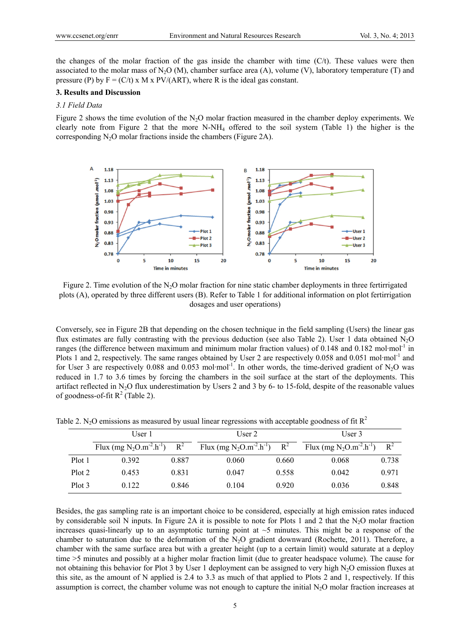the changes of the molar fraction of the gas inside the chamber with time (C/t). These values were then associated to the molar mass of N<sub>2</sub>O (M), chamber surface area (A), volume (V), laboratory temperature (T) and pressure (P) by  $F = (C/t) \times M \times PV/(ART)$ , where R is the ideal gas constant.

# **3. Results and Discussion**

#### *3.1 Field Data*

Figure 2 shows the time evolution of the  $N<sub>2</sub>O$  molar fraction measured in the chamber deploy experiments. We clearly note from Figure 2 that the more  $N-NH_4$  offered to the soil system (Table 1) the higher is the corresponding  $N_2O$  molar fractions inside the chambers (Figure 2A).



Figure 2. Time evolution of the N<sub>2</sub>O molar fraction for nine static chamber deployments in three fertirrigated plots (A), operated by three different users (B). Refer to Table 1 for additional information on plot fertirrigation dosages and user operations)

Conversely, see in Figure 2B that depending on the chosen technique in the field sampling (Users) the linear gas flux estimates are fully contrasting with the previous deduction (see also Table 2). User 1 data obtained N2O ranges (the difference between maximum and minimum molar fraction values) of 0.148 and 0.182 mol·mol<sup>-1</sup> in Plots 1 and 2, respectively. The same ranges obtained by User 2 are respectively 0.058 and 0.051 mol·mol<sup>-1</sup> and for User 3 are respectively 0.088 and 0.053 mol·mol<sup>-1</sup>. In other words, the time-derived gradient of N<sub>2</sub>O was reduced in 1.7 to 3.6 times by forcing the chambers in the soil surface at the start of the deployments. This artifact reflected in  $N_2O$  flux underestimation by Users 2 and 3 by 6- to 15-fold, despite of the reasonable values of goodness-of-fit  $R^2$  (Table 2).

|        | User 1                                                             |       | User 2                          |       | User $3$                                                           |       |
|--------|--------------------------------------------------------------------|-------|---------------------------------|-------|--------------------------------------------------------------------|-------|
|        | Flux (mg N <sub>2</sub> O.m <sup>-2</sup> .h <sup>-1</sup> ) $R^2$ |       | Flux (mg $N_2O.m^{-2}.h^{-1}$ ) | $R^2$ | Flux (mg N <sub>2</sub> O.m <sup>-2</sup> .h <sup>-1</sup> ) $R^2$ |       |
| Plot 1 | 0.392                                                              | 0.887 | 0.060                           | 0.660 | 0.068                                                              | 0.738 |
| Plot 2 | 0.453                                                              | 0.831 | 0.047                           | 0.558 | 0.042                                                              | 0.971 |
| Plot 3 | 0.122                                                              | 0.846 | 0.104                           | 0.920 | 0.036                                                              | 0.848 |

Table 2. N<sub>2</sub>O emissions as measured by usual linear regressions with acceptable goodness of fit  $R^2$ 

Besides, the gas sampling rate is an important choice to be considered, especially at high emission rates induced by considerable soil N inputs. In Figure 2A it is possible to note for Plots 1 and 2 that the N<sub>2</sub>O molar fraction increases quasi-linearly up to an asymptotic turning point at  $\sim$ 5 minutes. This might be a response of the chamber to saturation due to the deformation of the  $N_2O$  gradient downward (Rochette, 2011). Therefore, a chamber with the same surface area but with a greater height (up to a certain limit) would saturate at a deploy time >5 minutes and possibly at a higher molar fraction limit (due to greater headspace volume). The cause for not obtaining this behavior for Plot 3 by User 1 deployment can be assigned to very high  $N_2O$  emission fluxes at this site, as the amount of N applied is 2.4 to 3.3 as much of that applied to Plots 2 and 1, respectively. If this assumption is correct, the chamber volume was not enough to capture the initial  $N<sub>2</sub>O$  molar fraction increases at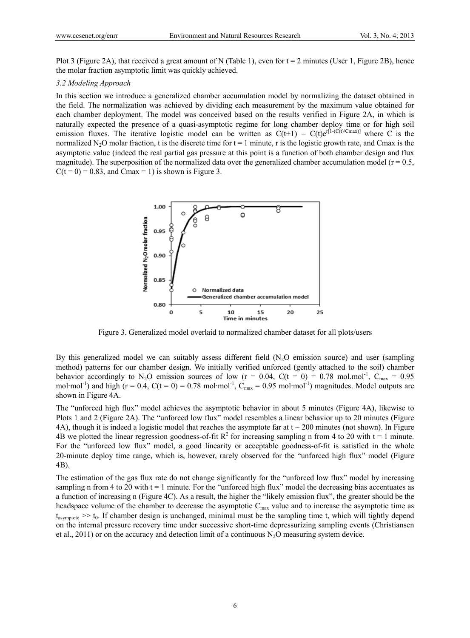Plot 3 (Figure 2A), that received a great amount of N (Table 1), even for  $t = 2$  minutes (User 1, Figure 2B), hence the molar fraction asymptotic limit was quickly achieved.

#### *3.2 Modeling Approach*

In this section we introduce a generalized chamber accumulation model by normalizing the dataset obtained in the field. The normalization was achieved by dividing each measurement by the maximum value obtained for each chamber deployment. The model was conceived based on the results verified in Figure 2A, in which is naturally expected the presence of a quasi-asymptotic regime for long chamber deploy time or for high soil emission fluxes. The iterative logistic model can be written as  $C(t+1) = C(t)e^{r[1-(C(t)/Cmax)]}$  where C is the normalized N<sub>2</sub>O molar fraction, t is the discrete time for  $t = 1$  minute, r is the logistic growth rate, and Cmax is the asymptotic value (indeed the real partial gas pressure at this point is a function of both chamber design and flux magnitude). The superposition of the normalized data over the generalized chamber accumulation model ( $r = 0.5$ ,  $C(t = 0) = 0.83$ , and Cmax = 1) is shown is Figure 3.



Figure 3. Generalized model overlaid to normalized chamber dataset for all plots/users

By this generalized model we can suitably assess different field  $(N_2O)$  emission source) and user (sampling method) patterns for our chamber design. We initially verified unforced (gently attached to the soil) chamber behavior accordingly to N<sub>2</sub>O emission sources of low (r = 0.04, C(t = 0) = 0.78 mol.mol<sup>-1</sup>, C<sub>max</sub> = 0.95 mol·mol<sup>-1</sup>) and high ( $r = 0.4$ ,  $C(t = 0) = 0.78$  mol·mol<sup>-1</sup>,  $C_{\text{max}} = 0.95$  mol·mol<sup>-1</sup>) magnitudes. Model outputs are shown in Figure 4A.

The "unforced high flux" model achieves the asymptotic behavior in about 5 minutes (Figure 4A), likewise to Plots 1 and 2 (Figure 2A). The "unforced low flux" model resembles a linear behavior up to 20 minutes (Figure 4A), though it is indeed a logistic model that reaches the asymptote far at  $t \sim 200$  minutes (not shown). In Figure 4B we plotted the linear regression goodness-of-fit  $R^2$  for increasing sampling n from 4 to 20 with t = 1 minute. For the "unforced low flux" model, a good linearity or acceptable goodness-of-fit is satisfied in the whole 20-minute deploy time range, which is, however, rarely observed for the "unforced high flux" model (Figure 4B).

The estimation of the gas flux rate do not change significantly for the "unforced low flux" model by increasing sampling n from 4 to 20 with  $t = 1$  minute. For the "unforced high flux" model the decreasing bias accentuates as a function of increasing n (Figure 4C). As a result, the higher the "likely emission flux", the greater should be the headspace volume of the chamber to decrease the asymptotic C<sub>max</sub> value and to increase the asymptotic time as  $t_{asymptote} \gg t_0$ . If chamber design is unchanged, minimal must be the sampling time t, which will tightly depend on the internal pressure recovery time under successive short-time depressurizing sampling events (Christiansen et al., 2011) or on the accuracy and detection limit of a continuous  $N_2O$  measuring system device.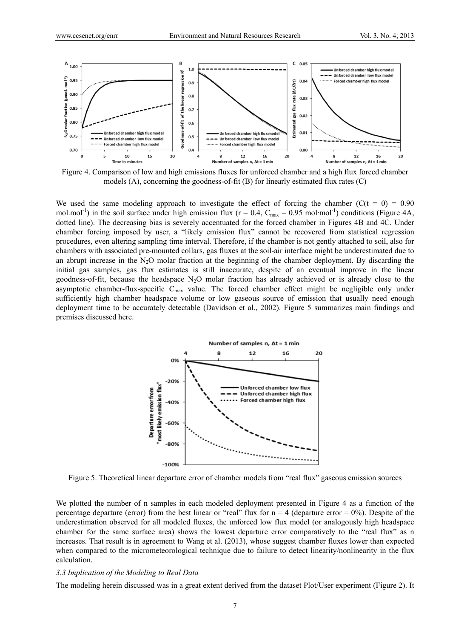

Figure 4. Comparison of low and high emissions fluxes for unforced chamber and a high flux forced chamber models (A), concerning the goodness-of-fit (B) for linearly estimated flux rates (C)

We used the same modeling approach to investigate the effect of forcing the chamber ( $C(t = 0) = 0.90$ ) mol.mol<sup>-1</sup>) in the soil surface under high emission flux ( $r = 0.4$ ,  $C_{\text{max}} = 0.95$  mol·mol<sup>-1</sup>) conditions (Figure 4A, dotted line). The decreasing bias is severely accentuated for the forced chamber in Figures 4B and 4C. Under chamber forcing imposed by user, a "likely emission flux" cannot be recovered from statistical regression procedures, even altering sampling time interval. Therefore, if the chamber is not gently attached to soil, also for chambers with associated pre-mounted collars, gas fluxes at the soil-air interface might be underestimated due to an abrupt increase in the  $N_2O$  molar fraction at the beginning of the chamber deployment. By discarding the initial gas samples, gas flux estimates is still inaccurate, despite of an eventual improve in the linear goodness-of-fit, because the headspace N2O molar fraction has already achieved or is already close to the asymptotic chamber-flux-specific  $C_{\text{max}}$  value. The forced chamber effect might be negligible only under sufficiently high chamber headspace volume or low gaseous source of emission that usually need enough deployment time to be accurately detectable (Davidson et al., 2002). Figure 5 summarizes main findings and premises discussed here.



Figure 5. Theoretical linear departure error of chamber models from "real flux" gaseous emission sources

We plotted the number of n samples in each modeled deployment presented in Figure 4 as a function of the percentage departure (error) from the best linear or "real" flux for  $n = 4$  (departure error = 0%). Despite of the underestimation observed for all modeled fluxes, the unforced low flux model (or analogously high headspace chamber for the same surface area) shows the lowest departure error comparatively to the "real flux" as n increases. That result is in agreement to Wang et al. (2013), whose suggest chamber fluxes lower than expected when compared to the micrometeorological technique due to failure to detect linearity/nonlinearity in the flux calculation.

#### *3.3 Implication of the Modeling to Real Data*

The modeling herein discussed was in a great extent derived from the dataset Plot/User experiment (Figure 2). It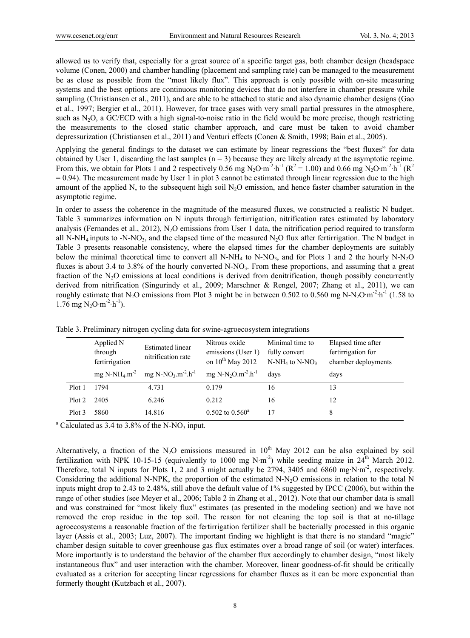allowed us to verify that, especially for a great source of a specific target gas, both chamber design (headspace volume (Conen, 2000) and chamber handling (placement and sampling rate) can be managed to the measurement be as close as possible from the "most likely flux". This approach is only possible with on-site measuring systems and the best options are continuous monitoring devices that do not interfere in chamber pressure while sampling (Christiansen et al., 2011), and are able to be attached to static and also dynamic chamber designs (Gao et al., 1997; Bergier et al., 2011). However, for trace gases with very small partial pressures in the atmosphere, such as N<sub>2</sub>O, a GC/ECD with a high signal-to-noise ratio in the field would be more precise, though restricting the measurements to the closed static chamber approach, and care must be taken to avoid chamber depressurization (Christiansen et al., 2011) and Venturi effects (Conen & Smith, 1998; Bain et al., 2005).

Applying the general findings to the dataset we can estimate by linear regressions the "best fluxes" for data obtained by User 1, discarding the last samples  $(n = 3)$  because they are likely already at the asymptotic regime. From this, we obtain for Plots 1 and 2 respectively 0.56 mg N<sub>2</sub>O·m<sup>-2</sup>·h<sup>-1</sup> ( $R^2 = 1.00$ ) and 0.66 mg N<sub>2</sub>O·m<sup>-2</sup>·h<sup>-1</sup> ( $R^2$ )  $= 0.94$ ). The measurement made by User 1 in plot 3 cannot be estimated through linear regression due to the high amount of the applied N, to the subsequent high soil N<sub>2</sub>O emission, and hence faster chamber saturation in the asymptotic regime.

In order to assess the coherence in the magnitude of the measured fluxes, we constructed a realistic N budget. Table 3 summarizes information on N inputs through fertirrigation, nitrification rates estimated by laboratory analysis (Fernandes et al., 2012), N<sub>2</sub>O emissions from User 1 data, the nitrification period required to transform all N-NH<sub>4</sub> inputs to -N-NO<sub>3</sub>, and the elapsed time of the measured N<sub>2</sub>O flux after fertirrigation. The N budget in Table 3 presents reasonable consistency, where the elapsed times for the chamber deployments are suitably below the minimal theoretical time to convert all N-NH<sub>4</sub> to N-NO<sub>3</sub>, and for Plots 1 and 2 the hourly N-N<sub>2</sub>O fluxes is about 3.4 to 3.8% of the hourly converted N-NO<sub>3</sub>. From these proportions, and assuming that a great fraction of the N<sub>2</sub>O emissions at local conditions is derived from denitrification, though possibly concurrently derived from nitrification (Singurindy et al., 2009; Marschner & Rengel, 2007; Zhang et al., 2011), we can roughly estimate that N<sub>2</sub>O emissions from Plot 3 might be in between 0.502 to 0.560 mg N-N<sub>2</sub>O·m<sup>-2</sup>·h<sup>-1</sup> (1.58 to 1.76 mg  $N_2O·m^{-2}·h^{-1}$ ).

|        | Applied N<br>through<br>fertirrigation | <b>Estimated linear</b><br>nitrification rate          | Nitrous oxide<br>emissions (User 1)<br>on $10^{th}$ May 2012 | Minimal time to<br>fully convert<br>$N-NH_4$ to $N-NO_3$ | Elapsed time after<br>fertirrigation for<br>chamber deployments |
|--------|----------------------------------------|--------------------------------------------------------|--------------------------------------------------------------|----------------------------------------------------------|-----------------------------------------------------------------|
|        | mg N-NH <sub>4</sub> .m <sup>-2</sup>  | mg N-NO <sub>3</sub> .m <sup>-2</sup> .h <sup>-1</sup> | mg N-N <sub>2</sub> O.m <sup>-2</sup> .h <sup>-1</sup>       | days                                                     | days                                                            |
| Plot 1 | 1794                                   | 4.731                                                  | 0.179                                                        | 16                                                       | 13                                                              |
| Plot 2 | 2405                                   | 6.246                                                  | 0.212                                                        | 16                                                       | 12                                                              |
| Plot 3 | 5860                                   | 14.816                                                 | $0.502$ to $0.560^{\circ}$                                   | 17                                                       | 8                                                               |

Table 3. Preliminary nitrogen cycling data for swine-agroecosystem integrations

 $\alpha$ <sup>a</sup> Calculated as 3.4 to 3.8% of the N-NO<sub>3</sub> input.

Alternatively, a fraction of the N<sub>2</sub>O emissions measured in  $10<sup>th</sup>$  May 2012 can be also explained by soil fertilization with NPK 10-15-15 (equivalently to 1000 mg N·m<sup>-2</sup>) while seeding maize in  $24<sup>th</sup>$  March 2012. Therefore, total N inputs for Plots 1, 2 and 3 might actually be 2794, 3405 and 6860 mg·N·m<sup>-2</sup>, respectively. Considering the additional N-NPK, the proportion of the estimated N-N2O emissions in relation to the total N inputs might drop to 2.43 to 2.48%, still above the default value of 1% suggested by IPCC (2006), but within the range of other studies (see Meyer et al., 2006; Table 2 in Zhang et al., 2012). Note that our chamber data is small and was constrained for "most likely flux" estimates (as presented in the modeling section) and we have not removed the crop residue in the top soil. The reason for not cleaning the top soil is that at no-tillage agroecosystems a reasonable fraction of the fertirrigation fertilizer shall be bacterially processed in this organic layer (Assis et al., 2003; Luz, 2007). The important finding we highlight is that there is no standard "magic" chamber design suitable to cover greenhouse gas flux estimates over a broad range of soil (or water) interfaces. More importantly is to understand the behavior of the chamber flux accordingly to chamber design, "most likely instantaneous flux" and user interaction with the chamber. Moreover, linear goodness-of-fit should be critically evaluated as a criterion for accepting linear regressions for chamber fluxes as it can be more exponential than formerly thought (Kutzbach et al., 2007).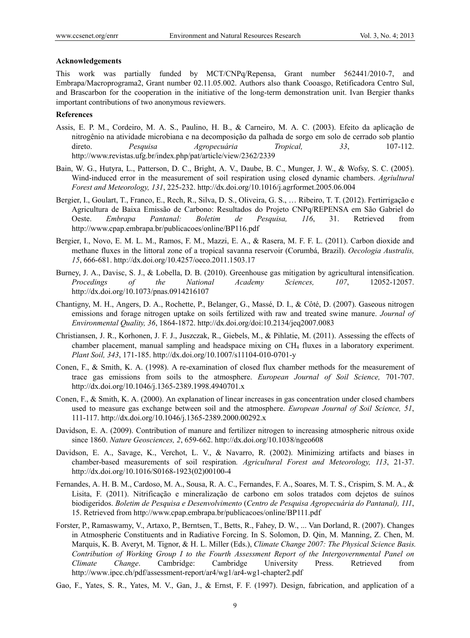#### **Acknowledgements**

This work was partially funded by MCT/CNPq/Repensa, Grant number 562441/2010-7, and Embrapa/Macroprograma2, Grant number 02.11.05.002. Authors also thank Cooasgo, Retificadora Centro Sul, and Brascarbon for the cooperation in the initiative of the long-term demonstration unit. Ivan Bergier thanks important contributions of two anonymous reviewers.

#### **References**

- Assis, E. P. M., Cordeiro, M. A. S., Paulino, H. B., & Carneiro, M. A. C. (2003). Efeito da aplicação de nitrogênio na atividade microbiana e na decomposição da palhada de sorgo em solo de cerrado sob plantio direto. *Pesquisa Agropecuária Tropical, 33*, 107-112. http://www.revistas.ufg.br/index.php/pat/article/view/2362/2339
- Bain, W. G., Hutyra, L., Patterson, D. C., Bright, A. V., Daube, B. C., Munger, J. W., & Wofsy, S. C. (2005). Wind-induced error in the measurement of soil respiration using closed dynamic chambers. *Agriultural Forest and Meteorology, 131*, 225-232. http://dx.doi.org/10.1016/j.agrformet.2005.06.004
- Bergier, I., Goulart, T., Franco, E., Rech, R., Silva, D. S., Oliveira, G. S., … Ribeiro, T. T. (2012). Fertirrigação e Agricultura de Baixa Emissão de Carbono: Resultados do Projeto CNPq/REPENSA em São Gabriel do Oeste. *Embrapa Pantanal: Boletim de Pesquisa, 116*, 31. Retrieved from http://www.cpap.embrapa.br/publicacoes/online/BP116.pdf
- Bergier, I., Novo, E. M. L. M., Ramos, F. M., Mazzi, E. A., & Rasera, M. F. F. L. (2011). Carbon dioxide and methane fluxes in the littoral zone of a tropical savanna reservoir (Corumbá, Brazil). *Oecologia Australis, 15*, 666-681. http://dx.doi.org/10.4257/oeco.2011.1503.17
- Burney, J. A., Davisc, S. J., & Lobella, D. B. (2010). Greenhouse gas mitigation by agricultural intensification. *Procedings of the National Academy Sciences, 107*, 12052-12057. http://dx.doi.org/10.1073/pnas.0914216107
- Chantigny, M. H., Angers, D. A., Rochette, P., Belanger, G., Massé, D. I., & Côté, D. (2007). Gaseous nitrogen emissions and forage nitrogen uptake on soils fertilized with raw and treated swine manure. *Journal of Environmental Quality, 36*, 1864-1872. http://dx.doi.org/doi:10.2134/jeq2007.0083
- Christiansen, J. R., Korhonen, J. F. J., Juszczak, R., Giebels, M., & Pihlatie, M. (2011). Assessing the effects of chamber placement, manual sampling and headspace mixing on CH4 fluxes in a laboratory experiment. *Plant Soil, 343*, 171-185. http://dx.doi.org/10.1007/s11104-010-0701-y
- Conen, F., & Smith, K. A. (1998). A re-examination of closed flux chamber methods for the measurement of trace gas emissions from soils to the atmosphere. *European Journal of Soil Science,* 701-707. http://dx.doi.org/10.1046/j.1365-2389.1998.4940701.x
- Conen, F., & Smith, K. A. (2000). An explanation of linear increases in gas concentration under closed chambers used to measure gas exchange between soil and the atmosphere. *European Journal of Soil Science, 51*, 111-117. http://dx.doi.org/10.1046/j.1365-2389.2000.00292.x
- Davidson, E. A. (2009). Contribution of manure and fertilizer nitrogen to increasing atmospheric nitrous oxide since 1860. *Nature Geosciences, 2*, 659-662. http://dx.doi.org/10.1038/ngeo608
- Davidson, E. A., Savage, K., Verchot, L. V., & Navarro, R. (2002). Minimizing artifacts and biases in chamber-based measurements of soil respiration*. Agricultural Forest and Meteorology, 113*, 21-37. http://dx.doi.org/10.1016/S0168-1923(02)00100-4
- Fernandes, A. H. B. M., Cardoso, M. A., Sousa, R. A. C., Fernandes, F. A., Soares, M. T. S., Crispim, S. M. A., & Lisita, F. (2011). Nitrificação e mineralização de carbono em solos tratados com dejetos de suínos biodigeridos. *Boletim de Pesquisa e Desenvolvimento* (*Centro de Pesquisa Agropecuária do Pantanal), 111*, 15. Retrieved from http://www.cpap.embrapa.br/publicacoes/online/BP111.pdf
- Forster, P., Ramaswamy, V., Artaxo, P., Berntsen, T., Betts, R., Fahey, D. W., ... Van Dorland, R. (2007). Changes in Atmospheric Constituents and in Radiative Forcing. In S. Solomon, D. Qin, M. Manning, Z. Chen, M. Marquis, K. B. Averyt, M. Tignor, & H. L. Miller (Eds.), *Climate Change 2007: The Physical Science Basis. Contribution of Working Group I to the Fourth Assessment Report of the Intergovernmental Panel on Climate Change*. Cambridge: Cambridge University Press. Retrieved from http://www.ipcc.ch/pdf/assessment-report/ar4/wg1/ar4-wg1-chapter2.pdf
- Gao, F., Yates, S. R., Yates, M. V., Gan, J., & Ernst, F. F. (1997). Design, fabrication, and application of a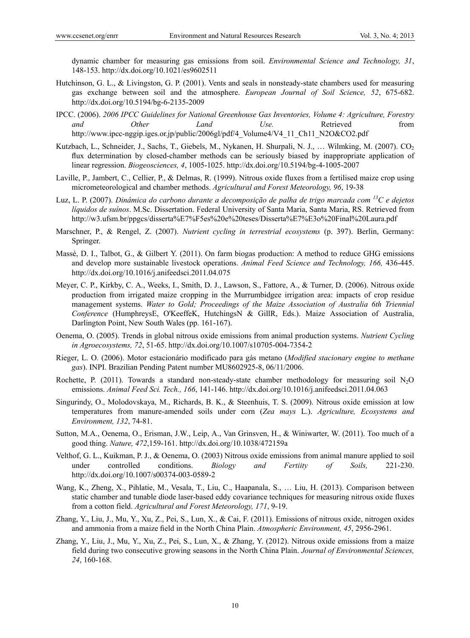dynamic chamber for measuring gas emissions from soil. *Environmental Science and Technology, 31*, 148-153. http://dx.doi.org/10.1021/es9602511

- Hutchinson, G. L., & Livingston, G. P. (2001). Vents and seals in nonsteady-state chambers used for measuring gas exchange between soil and the atmosphere. *European Journal of Soil Science, 52*, 675-682. http://dx.doi.org/10.5194/bg-6-2135-2009
- IPCC. (2006). *2006 IPCC Guidelines for National Greenhouse Gas Inventories, Volume 4: Agriculture, Forestry and Other Land Use.* Retrieved from http://www.ipcc-nggip.iges.or.jp/public/2006gl/pdf/4\_Volume4/V4\_11\_Ch11\_N2O&CO2.pdf
- Kutzbach, L., Schneider, J., Sachs, T., Giebels, M., Nykanen, H. Shurpali, N. J., … Wilmking, M. (2007). CO<sub>2</sub> flux determination by closed-chamber methods can be seriously biased by inappropriate application of linear regression. *Biogeosciences, 4*, 1005-1025. http://dx.doi.org/10.5194/bg-4-1005-2007
- Laville, P., Jambert, C., Cellier, P., & Delmas, R. (1999). Nitrous oxide fluxes from a fertilised maize crop using micrometeorological and chamber methods. *Agricultural and Forest Meteorology, 96*, 19-38
- Luz, L. P. (2007). *Dinâmica do carbono durante a decomposição de palha de trigo marcada com 13C e dejetos líquidos de suínos*. M.Sc. Dissertation. Federal University of Santa Maria, Santa Maria, RS. Retrieved from http://w3.ufsm.br/ppgcs/disserta%E7%F5es%20e%20teses/Disserta%E7%E3o%20Final%20Laura.pdf
- Marschner, P., & Rengel, Z. (2007). *Nutrient cycling in terrestrial ecosystems* (p. 397). Berlin, Germany: Springer.
- Massé, D. I., Talbot, G., & Gilbert Y. (2011). On farm biogas production: A method to reduce GHG emissions and develop more sustainable livestock operations. *Animal Feed Science and Technology, 166,* 436-445. http://dx.doi.org/10.1016/j.anifeedsci.2011.04.075
- Meyer, C. P., Kirkby, C. A., Weeks, I., Smith, D. J., Lawson, S., Fattore, A., & Turner, D. (2006). Nitrous oxide production from irrigated maize cropping in the Murrumbidgee irrigation area: impacts of crop residue management systems. *Water to Gold; Proceedings of the Maize Association of Australia 6th Triennial Conference* (HumphreysE, O'KeeffeK, HutchingsN & GillR, Eds.). Maize Association of Australia, Darlington Point, New South Wales (pp. 161-167).
- Oenema, O. (2005). Trends in global nitrous oxide emissions from animal production systems. *Nutrient Cycling in Agroecosystems, 72*, 51-65. http://dx.doi.org/10.1007/s10705-004-7354-2
- Rieger, L. O. (2006). Motor estacionário modificado para gás metano (*Modified stacionary engine to methane gas*). INPI. Brazilian Pending Patent number MU8602925-8, 06/11/2006.
- Rochette, P. (2011). Towards a standard non-steady-state chamber methodology for measuring soil N<sub>2</sub>O emissions. *Animal Feed Sci. Tech., 166*, 141-146. http://dx.doi.org/10.1016/j.anifeedsci.2011.04.063
- Singurindy, O., Molodovskaya, M., Richards, B. K., & Steenhuis, T. S. (2009). Nitrous oxide emission at low temperatures from manure-amended soils under corn (*Zea mays* L.). *Agriculture, Ecosystems and Environment, 132*, 74-81.
- Sutton, M.A., Oenema, O., Erisman, J.W., Leip, A., Van Grinsven, H., & Winiwarter, W. (2011). Too much of a good thing. *Nature, 472*,159-161. http://dx.doi.org/10.1038/472159a
- Velthof, G. L., Kuikman, P. J., & Oenema, O. (2003) Nitrous oxide emissions from animal manure applied to soil under controlled conditions. *Biology and Fertiity of Soils,* 221-230. http://dx.doi.org/10.1007/s00374-003-0589-2
- Wang, K., Zheng, X., Pihlatie, M., Vesala, T., Liu, C., Haapanala, S., … Liu, H. (2013). Comparison between static chamber and tunable diode laser-based eddy covariance techniques for measuring nitrous oxide fluxes from a cotton field. *Agricultural and Forest Meteorology, 171*, 9-19.
- Zhang, Y., Liu, J., Mu, Y., Xu, Z., Pei, S., Lun, X., & Cai, F. (2011). Emissions of nitrous oxide, nitrogen oxides and ammonia from a maize field in the North China Plain. *Atmospheric Environment, 45*, 2956-2961.
- Zhang, Y., Liu, J., Mu, Y., Xu, Z., Pei, S., Lun, X., & Zhang, Y. (2012). Nitrous oxide emissions from a maize field during two consecutive growing seasons in the North China Plain. *Journal of Environmental Sciences, 24*, 160-168.